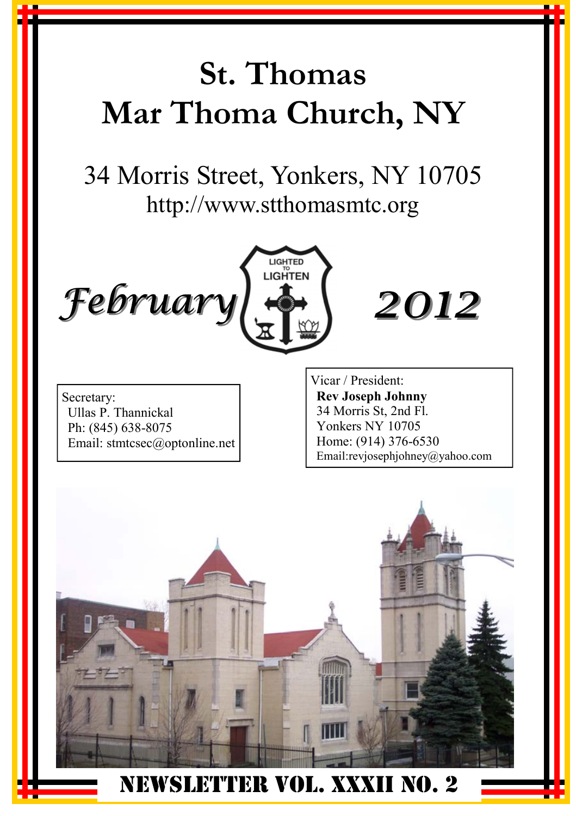# **St. Thomas Mar Thoma Church, NY**

34 Morris Street, Yonkers, NY 10705 http://www.stthomasmtc.org





Secretary: Ullas P. Thannickal Ph: (845) 638-8075 Email: stmtcsec@optonline.net Vicar / President: **Rev Joseph Johnny**  34 Morris St, 2nd Fl. Yonkers NY 10705 Home: (914) 376-6530 Email:revjosephjohney@yahoo.com

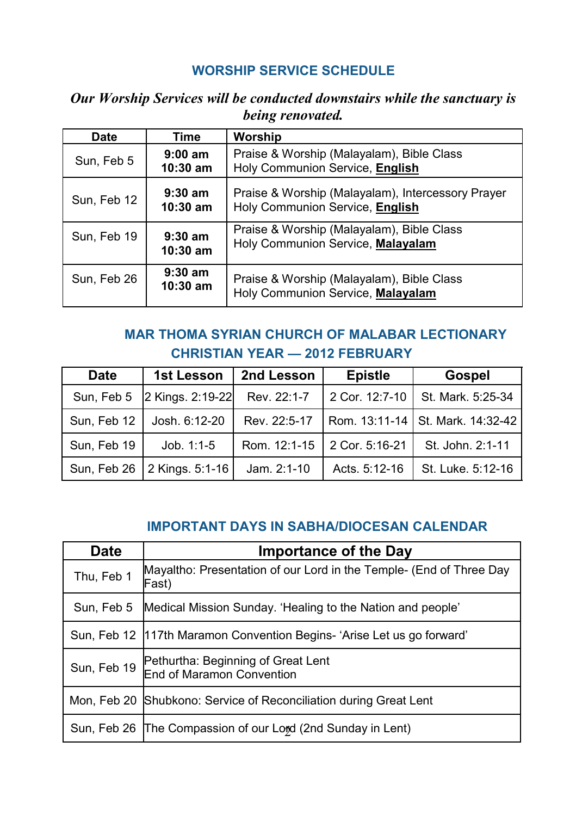#### **WORSHIP SERVICE SCHEDULE**

#### *Our Worship Services will be conducted downstairs while the sanctuary is being renovated.*

| <b>Date</b> | Time                    | Worship                                                                              |
|-------------|-------------------------|--------------------------------------------------------------------------------------|
| Sun, Feb 5  | $9:00$ am<br>$10:30$ am | Praise & Worship (Malayalam), Bible Class<br>Holy Communion Service, English         |
| Sun, Feb 12 | $9:30$ am<br>$10:30$ am | Praise & Worship (Malayalam), Intercessory Prayer<br>Holy Communion Service, English |
| Sun, Feb 19 | $9:30$ am<br>$10:30$ am | Praise & Worship (Malayalam), Bible Class<br>Holy Communion Service, Malayalam       |
| Sun, Feb 26 | $9:30$ am<br>$10:30$ am | Praise & Worship (Malayalam), Bible Class<br>Holy Communion Service, Malayalam       |

#### **MAR THOMA SYRIAN CHURCH OF MALABAR LECTIONARY CHRISTIAN YEAR — 2012 FEBRUARY**

| <b>Date</b> | 1st Lesson                    | 2nd Lesson    | <b>Epistle</b>              | Gospel                           |
|-------------|-------------------------------|---------------|-----------------------------|----------------------------------|
| Sun, Feb 5  | 2 Kings. 2:19-22              | Rev. 22:1-7   |                             | 2 Cor. 12:7-10 St. Mark. 5:25-34 |
| Sun, Feb 12 | Josh. 6:12-20                 | Rev. 22:5-17  |                             | Rom. 13:11-14 St. Mark. 14:32-42 |
| Sun, Feb 19 | $Job. 1:1-5$                  |               | Rom. 12:1-15 2 Cor. 5:16-21 | St. John. 2:1-11                 |
|             | Sun, Feb 26   2 Kings. 5:1-16 | Jam. $2:1-10$ | Acts. 5:12-16               | St. Luke. 5:12-16                |

#### **IMPORTANT DAYS IN SABHA/DIOCESAN CALENDAR**

| <b>Date</b> | <b>Importance of the Day</b>                                                 |
|-------------|------------------------------------------------------------------------------|
| Thu, Feb 1  | Mayaltho: Presentation of our Lord in the Temple- (End of Three Day<br>Fast) |
| Sun. Feb 5  | Medical Mission Sunday. 'Healing to the Nation and people'                   |
|             | Sun, Feb 12   117th Maramon Convention Begins- 'Arise Let us go forward'     |
| Sun, Feb 19 | Pethurtha: Beginning of Great Lent<br>End of Maramon Convention              |
|             | Mon, Feb 20 Shubkono: Service of Reconciliation during Great Lent            |
|             | Sun, Feb 26 The Compassion of our Lord (2nd Sunday in Lent)                  |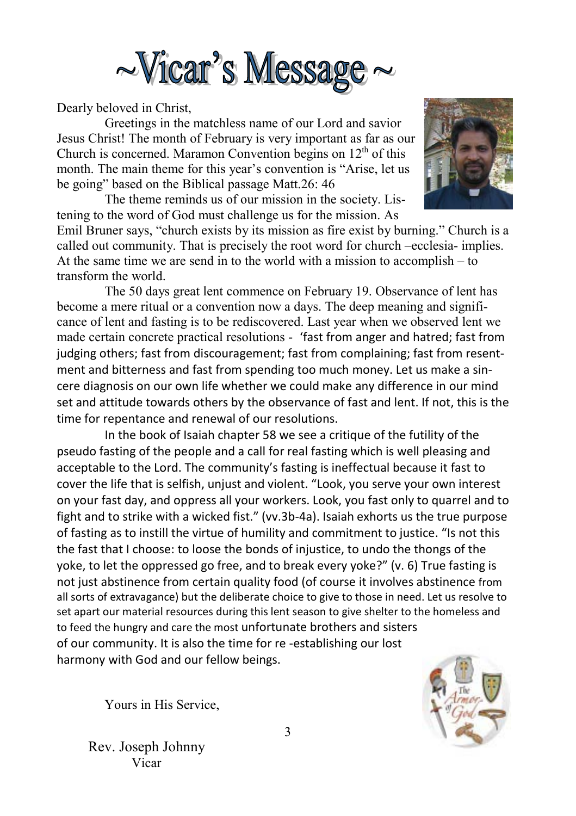

Dearly beloved in Christ,

Greetings in the matchless name of our Lord and savior Jesus Christ! The month of February is very important as far as our Church is concerned. Maramon Convention begins on  $12<sup>th</sup>$  of this month. The main theme for this year's convention is "Arise, let us be going" based on the Biblical passage Matt.26: 46

 The theme reminds us of our mission in the society. Listening to the word of God must challenge us for the mission. As

Emil Bruner says, "church exists by its mission as fire exist by burning." Church is a called out community. That is precisely the root word for church –ecclesia- implies. At the same time we are send in to the world with a mission to accomplish – to transform the world.

 The 50 days great lent commence on February 19. Observance of lent has become a mere ritual or a convention now a days. The deep meaning and significance of lent and fasting is to be rediscovered. Last year when we observed lent we made certain concrete practical resolutions - 'fast from anger and hatred; fast from judging others; fast from discouragement; fast from complaining; fast from resentment and bitterness and fast from spending too much money. Let us make a sincere diagnosis on our own life whether we could make any difference in our mind set and attitude towards others by the observance of fast and lent. If not, this is the time for repentance and renewal of our resolutions.

 In the book of Isaiah chapter 58 we see a critique of the futility of the pseudo fasting of the people and a call for real fasting which is well pleasing and acceptable to the Lord. The community's fasting is ineffectual because it fast to cover the life that is selfish, unjust and violent. "Look, you serve your own interest on your fast day, and oppress all your workers. Look, you fast only to quarrel and to fight and to strike with a wicked fist." (vv.3b-4a). Isaiah exhorts us the true purpose of fasting as to instill the virtue of humility and commitment to justice. "Is not this the fast that I choose: to loose the bonds of injustice, to undo the thongs of the yoke, to let the oppressed go free, and to break every yoke?" (v. 6) True fasting is not just abstinence from certain quality food (of course it involves abstinence from all sorts of extravagance) but the deliberate choice to give to those in need. Let us resolve to set apart our material resources during this lent season to give shelter to the homeless and to feed the hungry and care the most unfortunate brothers and sisters of our community. It is also the time for re ‐establishing our lost harmony with God and our fellow beings.



Yours in His Service,

Rev. Joseph Johnny Vicar

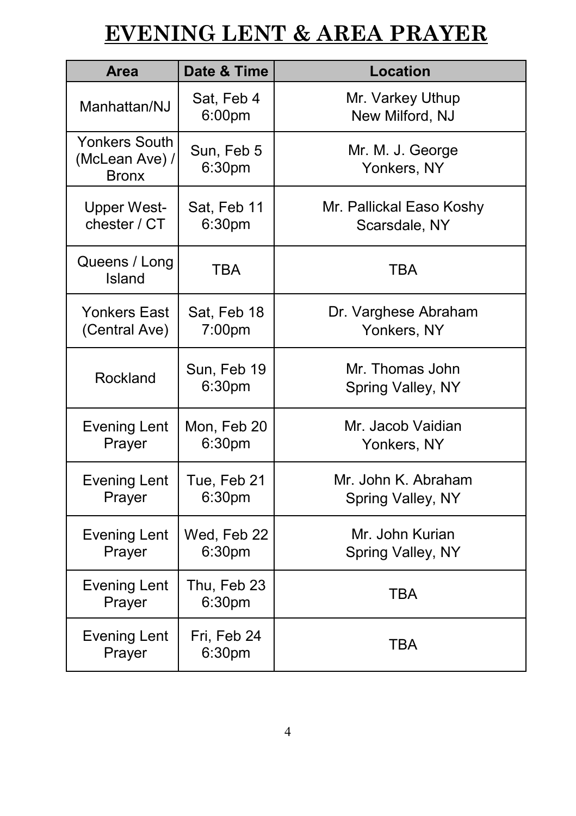# **EVENING LENT & AREA PRAYER**

| <b>Area</b>                                            | Date & Time                       | <b>Location</b>                           |
|--------------------------------------------------------|-----------------------------------|-------------------------------------------|
| Manhattan/NJ                                           | Sat, Feb 4<br>6:00pm              | Mr. Varkey Uthup<br>New Milford, NJ       |
| <b>Yonkers South</b><br>(McLean Ave) /<br><b>Bronx</b> | Sun, Feb 5<br>6:30pm              | Mr. M. J. George<br>Yonkers, NY           |
| <b>Upper West-</b><br>chester / CT                     | Sat, Feb 11<br>6:30pm             | Mr. Pallickal Easo Koshy<br>Scarsdale, NY |
| Queens / Long<br>Island                                | <b>TBA</b>                        | <b>TBA</b>                                |
| <b>Yonkers East</b><br>(Central Ave)                   | Sat, Feb 18<br>7:00 <sub>pm</sub> | Dr. Varghese Abraham<br>Yonkers, NY       |
| Rockland                                               | Sun, Feb 19<br>6:30 <sub>pm</sub> | Mr. Thomas John<br>Spring Valley, NY      |
| <b>Evening Lent</b><br>Prayer                          | Mon, Feb 20<br>6:30pm             | Mr. Jacob Vaidian<br>Yonkers, NY          |
| <b>Evening Lent</b><br>Prayer                          | Tue, Feb 21<br>6:30pm             | Mr. John K. Abraham<br>Spring Valley, NY  |
| <b>Evening Lent</b><br>Prayer                          | Wed, Feb 22<br>6:30pm             | Mr. John Kurian<br>Spring Valley, NY      |
| <b>Evening Lent</b><br>Prayer                          | Thu, Feb 23<br>6:30 <sub>pm</sub> | <b>TBA</b>                                |
| <b>Evening Lent</b><br>Prayer                          | Fri, Feb 24<br>6:30pm             | <b>TBA</b>                                |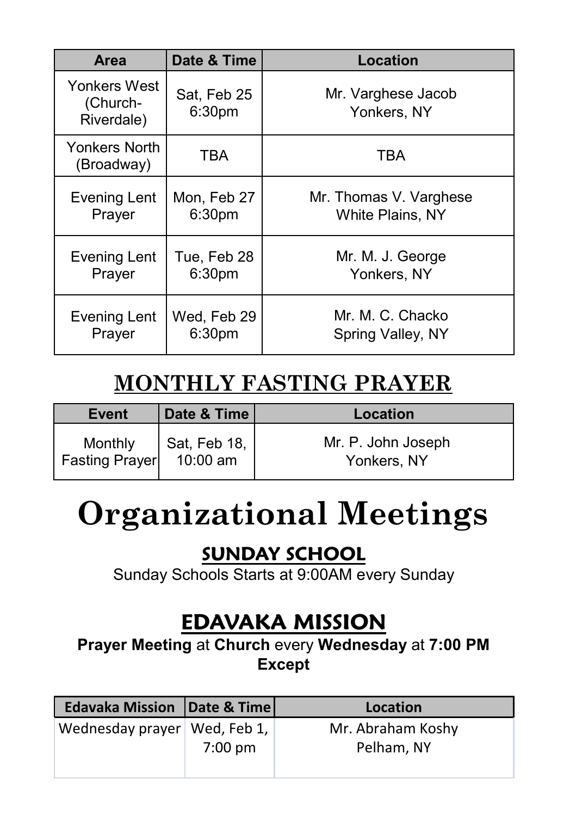| <b>Area</b>                            | Date & Time           | Location                          |
|----------------------------------------|-----------------------|-----------------------------------|
| Yonkers West<br>(Church-<br>Riverdale) | Sat, Feb 25<br>6:30pm | Mr. Varghese Jacob<br>Yonkers, NY |
| Yonkers North<br>(Broadway)            | TBA                   | TBA                               |
| Evening Lent                           | Mon, Feb 27           | Mr. Thomas V. Varghese            |
| Prayer                                 | 6:30pm                | White Plains, NY                  |
| Evening Lent                           | Tue, Feb 28           | Mr. M. J. George                  |
| Prayer                                 | 6:30pm                | Yonkers, NY                       |
| Evening Lent                           | Wed, Feb 29           | Mr. M. C. Chacko                  |
| Prayer                                 | 6:30pm                | Spring Valley, NY                 |

# **MONTHLY FASTING PRAYER**

| <b>Event</b>                     | Date & Time | Location                          |
|----------------------------------|-------------|-----------------------------------|
| Monthly<br><b>Fasting Prayer</b> |             | Mr. P. John Joseph<br>Yonkers, NY |

# **Organizational Meetings**

### **SUNDAY SCHOOL**

Sunday Schools Starts at 9:00AM every Sunday

# **EDAVAKA MISSION**

**Prayer Meeting** at **Church** every **Wednesday** at **7:00 PM Except** 

| <b>Edavaka Mission Date &amp; Time</b> |                   | Location          |
|----------------------------------------|-------------------|-------------------|
| Wednesday prayer   Wed, Feb 1,         |                   | Mr. Abraham Koshy |
|                                        | $7:00 \text{ pm}$ | Pelham, NY        |
|                                        |                   |                   |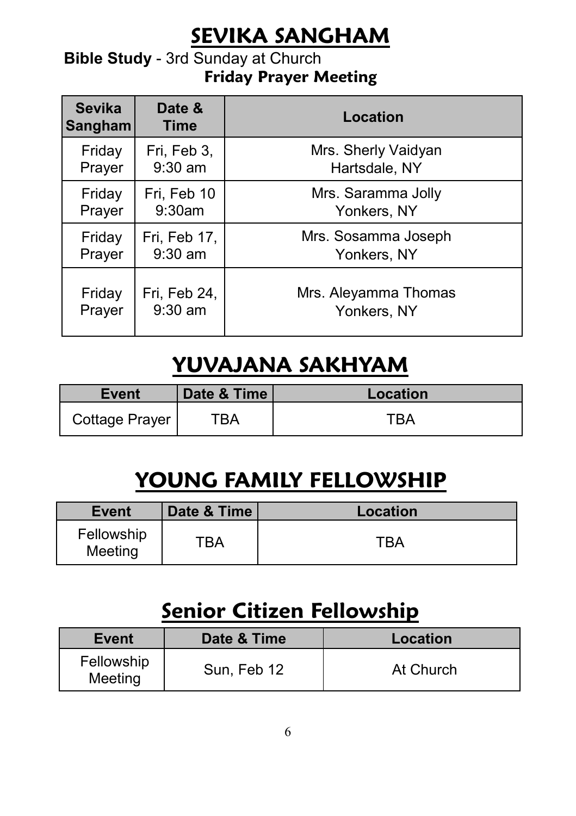# **SEVIKA SANGHAM**

#### **Bible Study** - 3rd Sunday at Church **Friday Prayer Meeting**

| <b>Sevika</b><br>Sangham | Date &<br><b>Time</b> | Location             |
|--------------------------|-----------------------|----------------------|
| Friday                   | Fri, Feb 3,           | Mrs. Sherly Vaidyan  |
| Prayer                   | $9:30$ am             | Hartsdale, NY        |
| Friday                   | Fri, Feb 10           | Mrs. Saramma Jolly   |
| Prayer                   | 9:30am                | Yonkers, NY          |
| Friday                   | Fri, Feb 17,          | Mrs. Sosamma Joseph  |
| Prayer                   | $9:30$ am             | Yonkers, NY          |
| Friday                   | Fri, Feb 24,          | Mrs. Aleyamma Thomas |
| Prayer                   | $9:30$ am             | Yonkers, NY          |

# **YUVAJANA SAKHYAM**

| Event          | Date & Time | Location |
|----------------|-------------|----------|
| Cottage Prayer | ™ВА         | "RA"     |

# **YOUNG FAMILY FELLOWSHIP**

| Event                 | Date & Time | Location |
|-----------------------|-------------|----------|
| Fellowship<br>Meeting | ТВА         | TRA      |

## **Senior Citizen Fellowship**

| Event                 | Date & Time | Location  |
|-----------------------|-------------|-----------|
| Fellowship<br>Meeting | Sun, Feb 12 | At Church |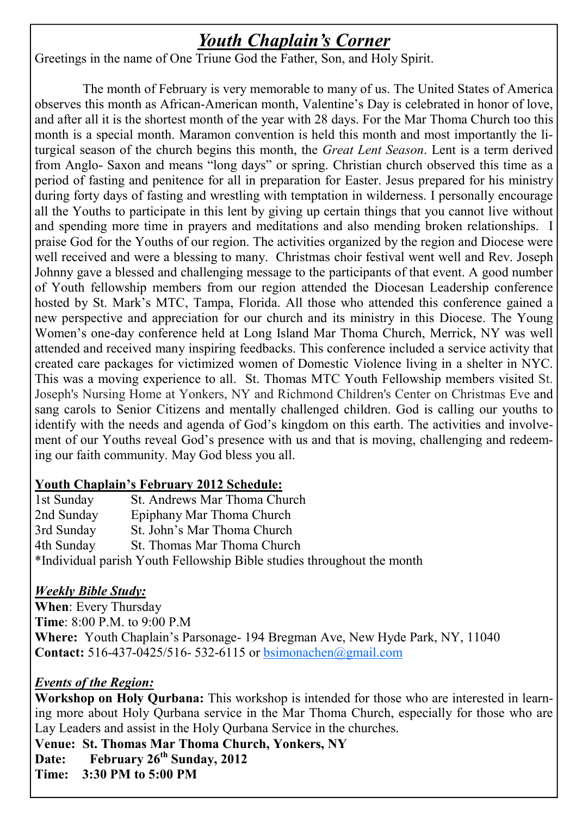#### *Youth Chaplain's Corner*

Greetings in the name of One Triune God the Father, Son, and Holy Spirit.

 The month of February is very memorable to many of us. The United States of America observes this month as African-American month, Valentine's Day is celebrated in honor of love, and after all it is the shortest month of the year with 28 days. For the Mar Thoma Church too this month is a special month. Maramon convention is held this month and most importantly the liturgical season of the church begins this month, the *Great Lent Season*. Lent is a term derived from Anglo- Saxon and means "long days" or spring. Christian church observed this time as a period of fasting and penitence for all in preparation for Easter. Jesus prepared for his ministry during forty days of fasting and wrestling with temptation in wilderness. I personally encourage all the Youths to participate in this lent by giving up certain things that you cannot live without and spending more time in prayers and meditations and also mending broken relationships. I praise God for the Youths of our region. The activities organized by the region and Diocese were well received and were a blessing to many. Christmas choir festival went well and Rev. Joseph Johnny gave a blessed and challenging message to the participants of that event. A good number of Youth fellowship members from our region attended the Diocesan Leadership conference hosted by St. Mark's MTC, Tampa, Florida. All those who attended this conference gained a new perspective and appreciation for our church and its ministry in this Diocese. The Young Women's one-day conference held at Long Island Mar Thoma Church, Merrick, NY was well attended and received many inspiring feedbacks. This conference included a service activity that created care packages for victimized women of Domestic Violence living in a shelter in NYC. This was a moving experience to all. St. Thomas MTC Youth Fellowship members visited St. Joseph's Nursing Home at Yonkers, NY and Richmond Children's Center on Christmas Eve and sang carols to Senior Citizens and mentally challenged children. God is calling our youths to identify with the needs and agenda of God's kingdom on this earth. The activities and involvement of our Youths reveal God's presence with us and that is moving, challenging and redeeming our faith community. May God bless you all.

#### **Youth Chaplain's February 2012 Schedule:**

1st Sunday St. Andrews Mar Thoma Church 2nd Sunday Epiphany Mar Thoma Church 3rd Sunday St. John's Mar Thoma Church 4th Sunday St. Thomas Mar Thoma Church \*Individual parish Youth Fellowship Bible studies throughout the month

#### *Weekly Bible Study:*

**When**: Every Thursday **Time**: 8:00 P.M. to 9:00 P.M **Where:** Youth Chaplain's Parsonage- 194 Bregman Ave, New Hyde Park, NY, 11040 **Contact:** 516-437-0425/516- 532-6115 or bsimonachen@gmail.com

#### *Events of the Region:*

Lay Leaders and assist in the Holy Qurbana Service in the churches. **Workshop on Holy Qurbana:** This workshop is intended for those who are interested in learning more about Holy Qurbana service in the Mar Thoma Church, especially for those who are

**Venue: St. Thomas Mar Thoma Church, Yonkers, NY** 

**Date: February 26th Sunday, 2012** 

**Time: 3:30 PM to 5:00 PM**